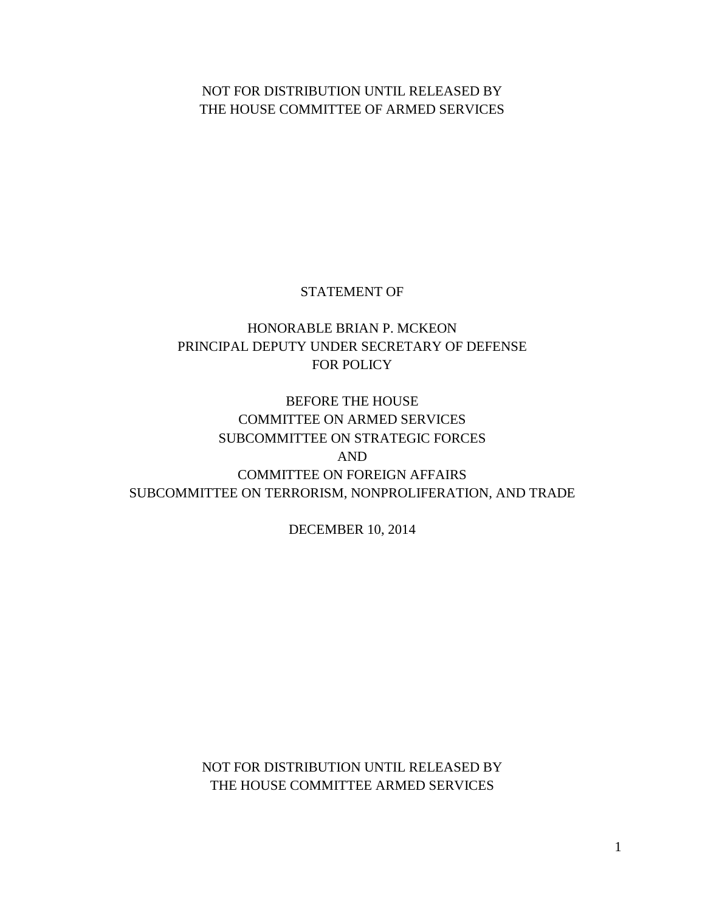# NOT FOR DISTRIBUTION UNTIL RELEASED BY THE HOUSE COMMITTEE OF ARMED SERVICES

# STATEMENT OF

# HONORABLE BRIAN P. MCKEON PRINCIPAL DEPUTY UNDER SECRETARY OF DEFENSE FOR POLICY

# BEFORE THE HOUSE COMMITTEE ON ARMED SERVICES SUBCOMMITTEE ON STRATEGIC FORCES AND COMMITTEE ON FOREIGN AFFAIRS SUBCOMMITTEE ON TERRORISM, NONPROLIFERATION, AND TRADE

DECEMBER 10, 2014

NOT FOR DISTRIBUTION UNTIL RELEASED BY THE HOUSE COMMITTEE ARMED SERVICES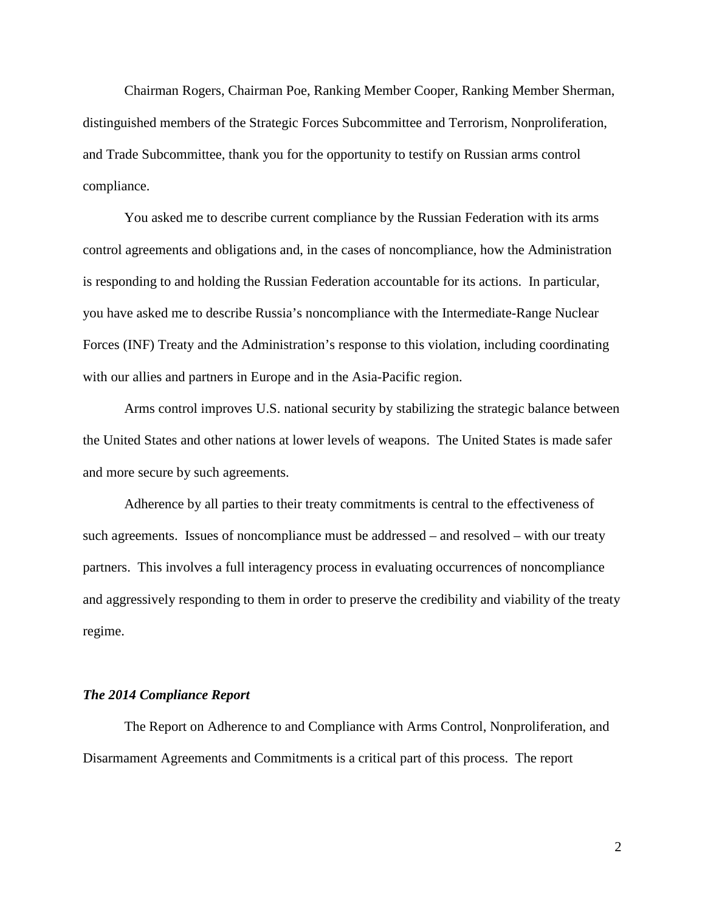Chairman Rogers, Chairman Poe, Ranking Member Cooper, Ranking Member Sherman, distinguished members of the Strategic Forces Subcommittee and Terrorism, Nonproliferation, and Trade Subcommittee, thank you for the opportunity to testify on Russian arms control compliance.

You asked me to describe current compliance by the Russian Federation with its arms control agreements and obligations and, in the cases of noncompliance, how the Administration is responding to and holding the Russian Federation accountable for its actions. In particular, you have asked me to describe Russia's noncompliance with the Intermediate-Range Nuclear Forces (INF) Treaty and the Administration's response to this violation, including coordinating with our allies and partners in Europe and in the Asia-Pacific region.

Arms control improves U.S. national security by stabilizing the strategic balance between the United States and other nations at lower levels of weapons. The United States is made safer and more secure by such agreements.

Adherence by all parties to their treaty commitments is central to the effectiveness of such agreements. Issues of noncompliance must be addressed – and resolved – with our treaty partners. This involves a full interagency process in evaluating occurrences of noncompliance and aggressively responding to them in order to preserve the credibility and viability of the treaty regime.

#### *The 2014 Compliance Report*

The Report on Adherence to and Compliance with Arms Control, Nonproliferation, and Disarmament Agreements and Commitments is a critical part of this process. The report

2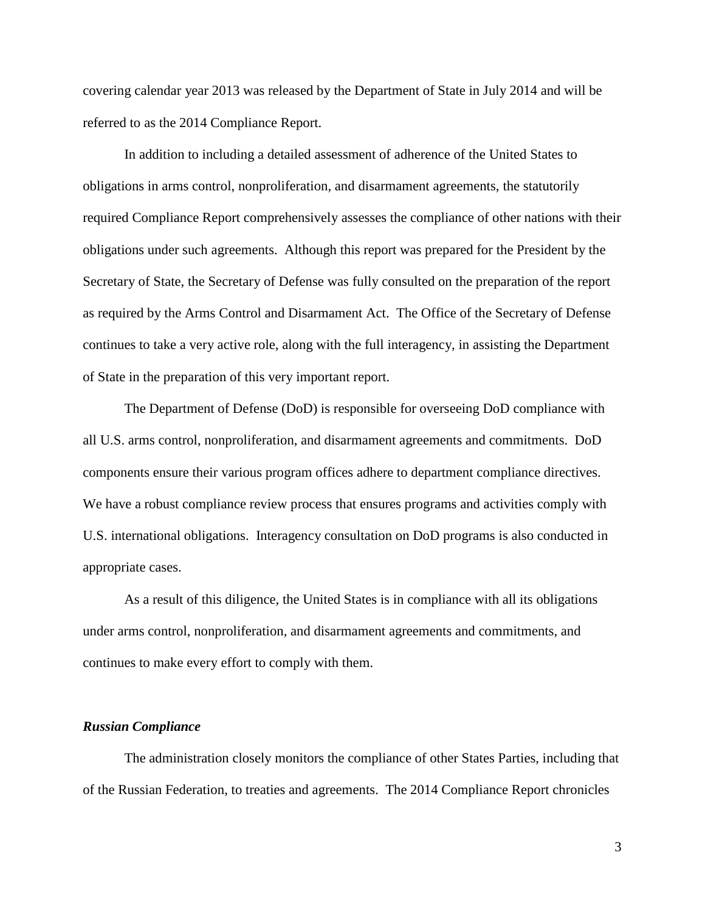covering calendar year 2013 was released by the Department of State in July 2014 and will be referred to as the 2014 Compliance Report.

In addition to including a detailed assessment of adherence of the United States to obligations in arms control, nonproliferation, and disarmament agreements, the statutorily required Compliance Report comprehensively assesses the compliance of other nations with their obligations under such agreements. Although this report was prepared for the President by the Secretary of State, the Secretary of Defense was fully consulted on the preparation of the report as required by the Arms Control and Disarmament Act. The Office of the Secretary of Defense continues to take a very active role, along with the full interagency, in assisting the Department of State in the preparation of this very important report.

The Department of Defense (DoD) is responsible for overseeing DoD compliance with all U.S. arms control, nonproliferation, and disarmament agreements and commitments. DoD components ensure their various program offices adhere to department compliance directives. We have a robust compliance review process that ensures programs and activities comply with U.S. international obligations. Interagency consultation on DoD programs is also conducted in appropriate cases.

As a result of this diligence, the United States is in compliance with all its obligations under arms control, nonproliferation, and disarmament agreements and commitments, and continues to make every effort to comply with them.

#### *Russian Compliance*

The administration closely monitors the compliance of other States Parties, including that of the Russian Federation, to treaties and agreements. The 2014 Compliance Report chronicles

3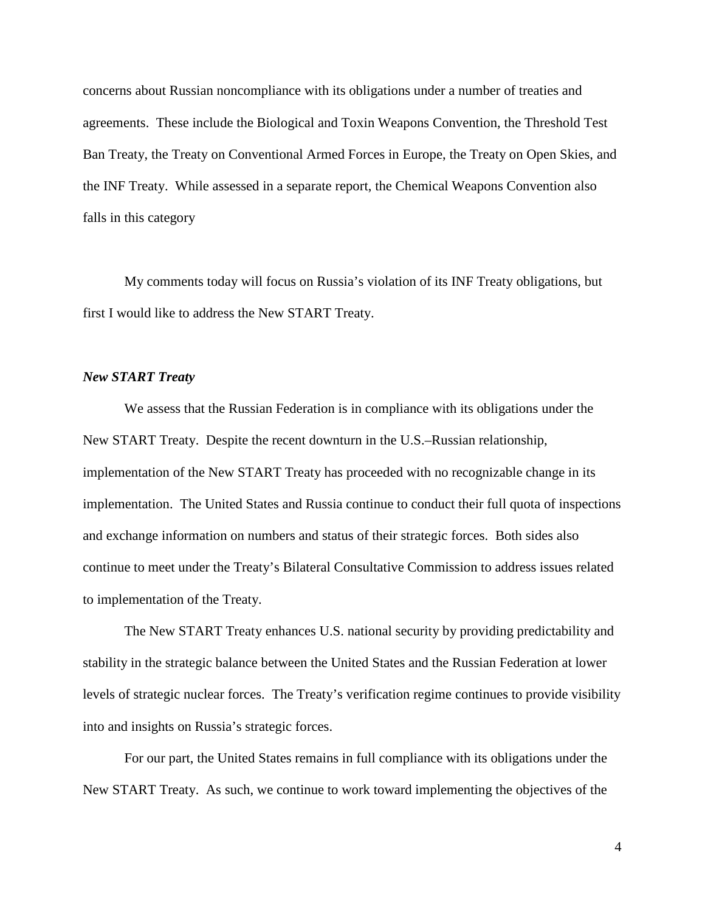concerns about Russian noncompliance with its obligations under a number of treaties and agreements. These include the Biological and Toxin Weapons Convention, the Threshold Test Ban Treaty, the Treaty on Conventional Armed Forces in Europe, the Treaty on Open Skies, and the INF Treaty. While assessed in a separate report, the Chemical Weapons Convention also falls in this category

My comments today will focus on Russia's violation of its INF Treaty obligations, but first I would like to address the New START Treaty.

#### *New START Treaty*

We assess that the Russian Federation is in compliance with its obligations under the New START Treaty. Despite the recent downturn in the U.S.–Russian relationship, implementation of the New START Treaty has proceeded with no recognizable change in its implementation. The United States and Russia continue to conduct their full quota of inspections and exchange information on numbers and status of their strategic forces. Both sides also continue to meet under the Treaty's Bilateral Consultative Commission to address issues related to implementation of the Treaty.

The New START Treaty enhances U.S. national security by providing predictability and stability in the strategic balance between the United States and the Russian Federation at lower levels of strategic nuclear forces. The Treaty's verification regime continues to provide visibility into and insights on Russia's strategic forces.

For our part, the United States remains in full compliance with its obligations under the New START Treaty. As such, we continue to work toward implementing the objectives of the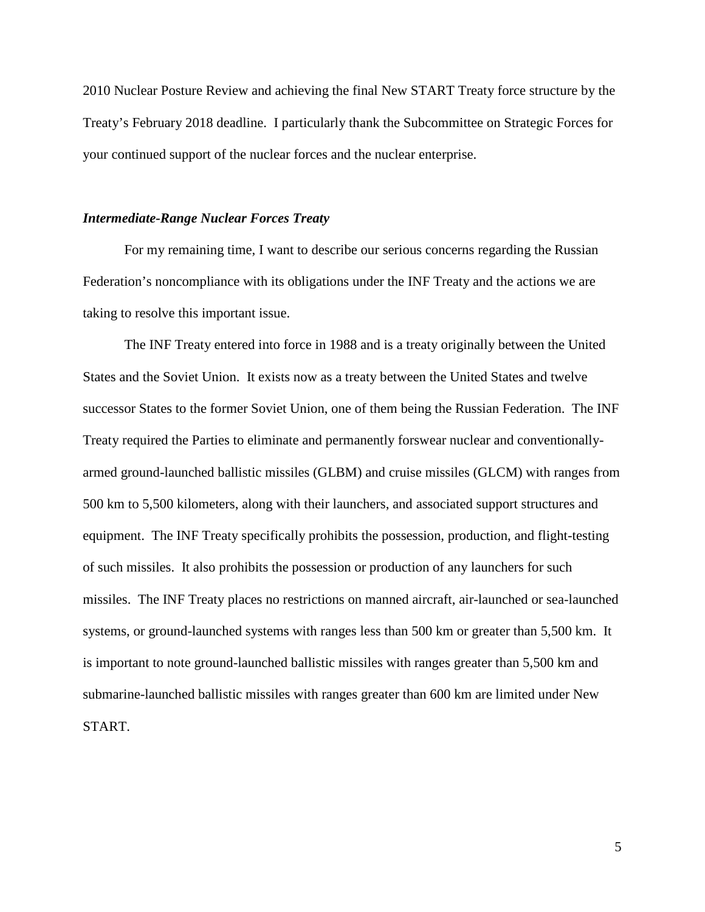2010 Nuclear Posture Review and achieving the final New START Treaty force structure by the Treaty's February 2018 deadline. I particularly thank the Subcommittee on Strategic Forces for your continued support of the nuclear forces and the nuclear enterprise.

## *Intermediate-Range Nuclear Forces Treaty*

For my remaining time, I want to describe our serious concerns regarding the Russian Federation's noncompliance with its obligations under the INF Treaty and the actions we are taking to resolve this important issue.

The INF Treaty entered into force in 1988 and is a treaty originally between the United States and the Soviet Union. It exists now as a treaty between the United States and twelve successor States to the former Soviet Union, one of them being the Russian Federation. The INF Treaty required the Parties to eliminate and permanently forswear nuclear and conventionallyarmed ground-launched ballistic missiles (GLBM) and cruise missiles (GLCM) with ranges from 500 km to 5,500 kilometers, along with their launchers, and associated support structures and equipment. The INF Treaty specifically prohibits the possession, production, and flight-testing of such missiles. It also prohibits the possession or production of any launchers for such missiles. The INF Treaty places no restrictions on manned aircraft, air-launched or sea-launched systems, or ground-launched systems with ranges less than 500 km or greater than 5,500 km. It is important to note ground-launched ballistic missiles with ranges greater than 5,500 km and submarine-launched ballistic missiles with ranges greater than 600 km are limited under New START.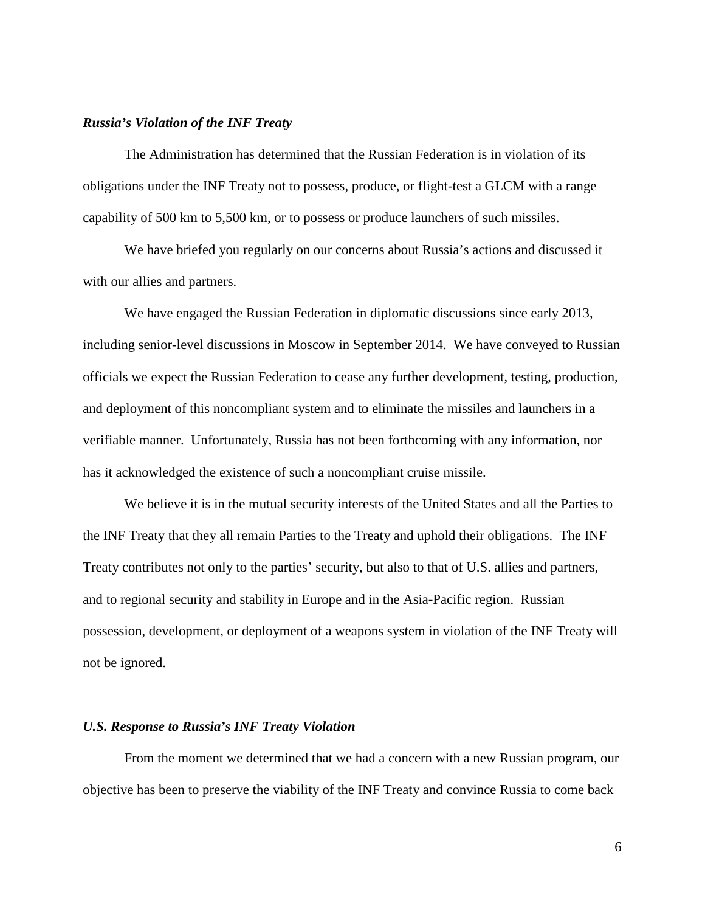## *Russia's Violation of the INF Treaty*

The Administration has determined that the Russian Federation is in violation of its obligations under the INF Treaty not to possess, produce, or flight-test a GLCM with a range capability of 500 km to 5,500 km, or to possess or produce launchers of such missiles.

We have briefed you regularly on our concerns about Russia's actions and discussed it with our allies and partners.

We have engaged the Russian Federation in diplomatic discussions since early 2013, including senior-level discussions in Moscow in September 2014. We have conveyed to Russian officials we expect the Russian Federation to cease any further development, testing, production, and deployment of this noncompliant system and to eliminate the missiles and launchers in a verifiable manner. Unfortunately, Russia has not been forthcoming with any information, nor has it acknowledged the existence of such a noncompliant cruise missile.

We believe it is in the mutual security interests of the United States and all the Parties to the INF Treaty that they all remain Parties to the Treaty and uphold their obligations. The INF Treaty contributes not only to the parties' security, but also to that of U.S. allies and partners, and to regional security and stability in Europe and in the Asia-Pacific region. Russian possession, development, or deployment of a weapons system in violation of the INF Treaty will not be ignored.

#### *U.S. Response to Russia's INF Treaty Violation*

From the moment we determined that we had a concern with a new Russian program, our objective has been to preserve the viability of the INF Treaty and convince Russia to come back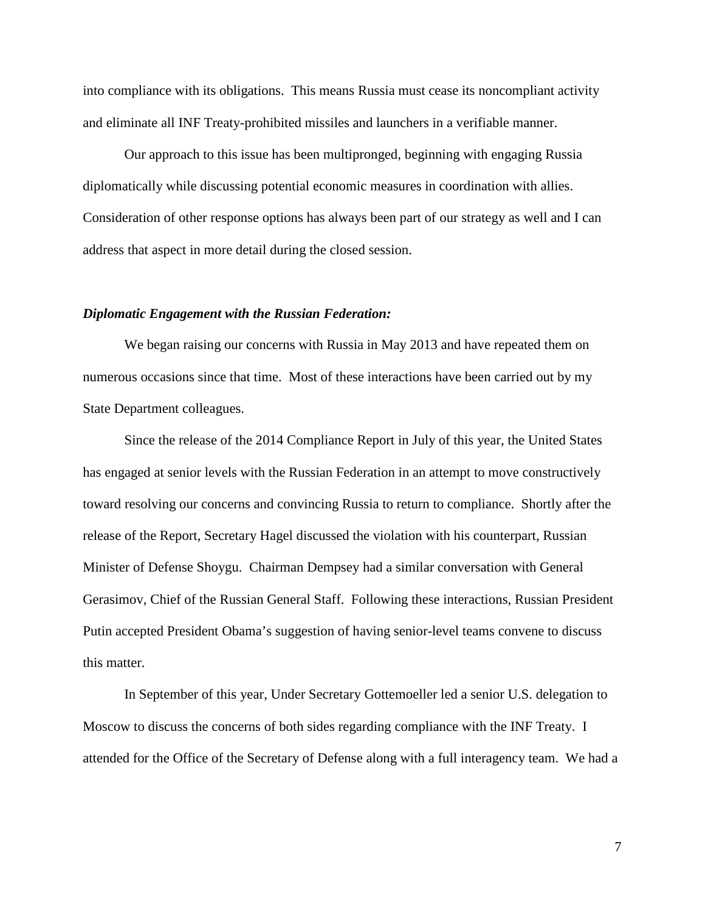into compliance with its obligations. This means Russia must cease its noncompliant activity and eliminate all INF Treaty-prohibited missiles and launchers in a verifiable manner.

Our approach to this issue has been multipronged, beginning with engaging Russia diplomatically while discussing potential economic measures in coordination with allies. Consideration of other response options has always been part of our strategy as well and I can address that aspect in more detail during the closed session.

#### *Diplomatic Engagement with the Russian Federation:*

We began raising our concerns with Russia in May 2013 and have repeated them on numerous occasions since that time. Most of these interactions have been carried out by my State Department colleagues.

Since the release of the 2014 Compliance Report in July of this year, the United States has engaged at senior levels with the Russian Federation in an attempt to move constructively toward resolving our concerns and convincing Russia to return to compliance. Shortly after the release of the Report, Secretary Hagel discussed the violation with his counterpart, Russian Minister of Defense Shoygu. Chairman Dempsey had a similar conversation with General Gerasimov, Chief of the Russian General Staff. Following these interactions, Russian President Putin accepted President Obama's suggestion of having senior-level teams convene to discuss this matter.

In September of this year, Under Secretary Gottemoeller led a senior U.S. delegation to Moscow to discuss the concerns of both sides regarding compliance with the INF Treaty. I attended for the Office of the Secretary of Defense along with a full interagency team. We had a

7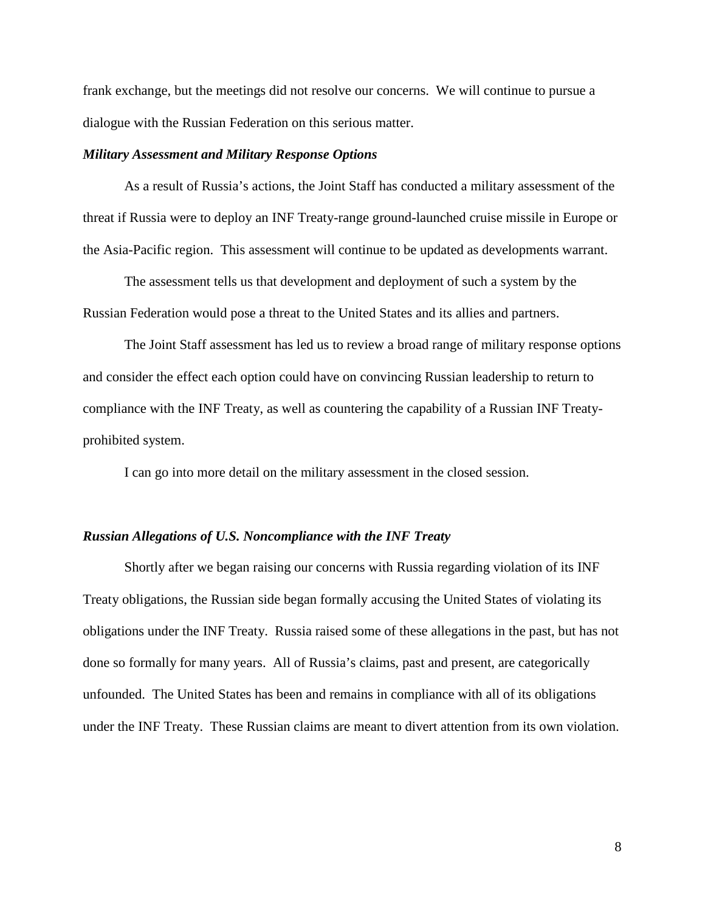frank exchange, but the meetings did not resolve our concerns. We will continue to pursue a dialogue with the Russian Federation on this serious matter.

#### *Military Assessment and Military Response Options*

As a result of Russia's actions, the Joint Staff has conducted a military assessment of the threat if Russia were to deploy an INF Treaty-range ground-launched cruise missile in Europe or the Asia-Pacific region. This assessment will continue to be updated as developments warrant.

The assessment tells us that development and deployment of such a system by the Russian Federation would pose a threat to the United States and its allies and partners.

The Joint Staff assessment has led us to review a broad range of military response options and consider the effect each option could have on convincing Russian leadership to return to compliance with the INF Treaty, as well as countering the capability of a Russian INF Treatyprohibited system.

I can go into more detail on the military assessment in the closed session.

### *Russian Allegations of U.S. Noncompliance with the INF Treaty*

Shortly after we began raising our concerns with Russia regarding violation of its INF Treaty obligations, the Russian side began formally accusing the United States of violating its obligations under the INF Treaty. Russia raised some of these allegations in the past, but has not done so formally for many years. All of Russia's claims, past and present, are categorically unfounded. The United States has been and remains in compliance with all of its obligations under the INF Treaty. These Russian claims are meant to divert attention from its own violation.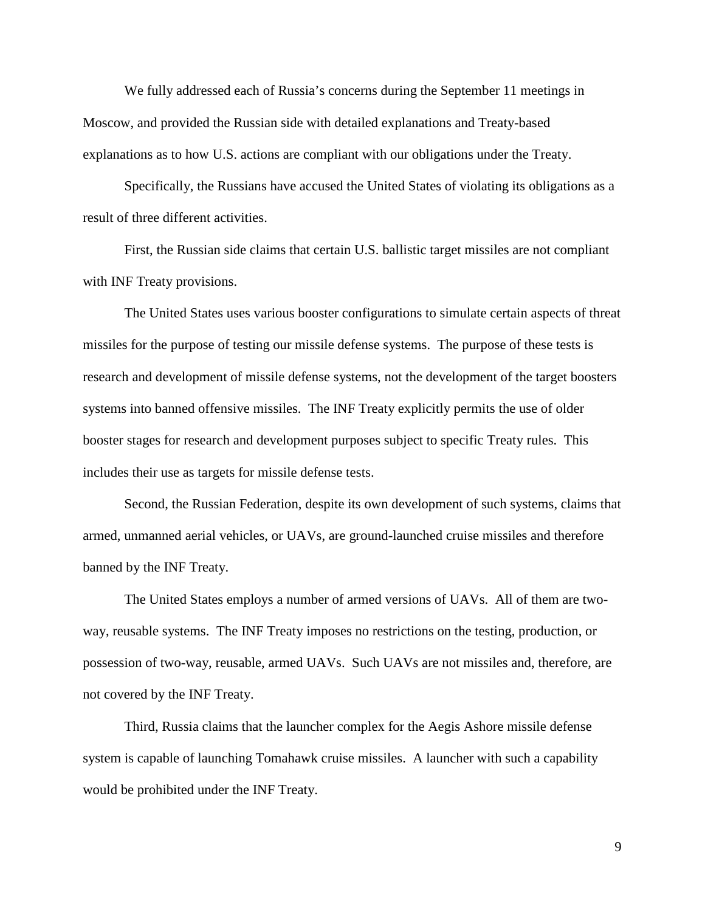We fully addressed each of Russia's concerns during the September 11 meetings in Moscow, and provided the Russian side with detailed explanations and Treaty-based explanations as to how U.S. actions are compliant with our obligations under the Treaty.

Specifically, the Russians have accused the United States of violating its obligations as a result of three different activities.

First, the Russian side claims that certain U.S. ballistic target missiles are not compliant with INF Treaty provisions.

The United States uses various booster configurations to simulate certain aspects of threat missiles for the purpose of testing our missile defense systems. The purpose of these tests is research and development of missile defense systems, not the development of the target boosters systems into banned offensive missiles. The INF Treaty explicitly permits the use of older booster stages for research and development purposes subject to specific Treaty rules. This includes their use as targets for missile defense tests.

Second, the Russian Federation, despite its own development of such systems, claims that armed, unmanned aerial vehicles, or UAVs, are ground-launched cruise missiles and therefore banned by the INF Treaty.

The United States employs a number of armed versions of UAVs. All of them are twoway, reusable systems. The INF Treaty imposes no restrictions on the testing, production, or possession of two-way, reusable, armed UAVs. Such UAVs are not missiles and, therefore, are not covered by the INF Treaty.

Third, Russia claims that the launcher complex for the Aegis Ashore missile defense system is capable of launching Tomahawk cruise missiles. A launcher with such a capability would be prohibited under the INF Treaty.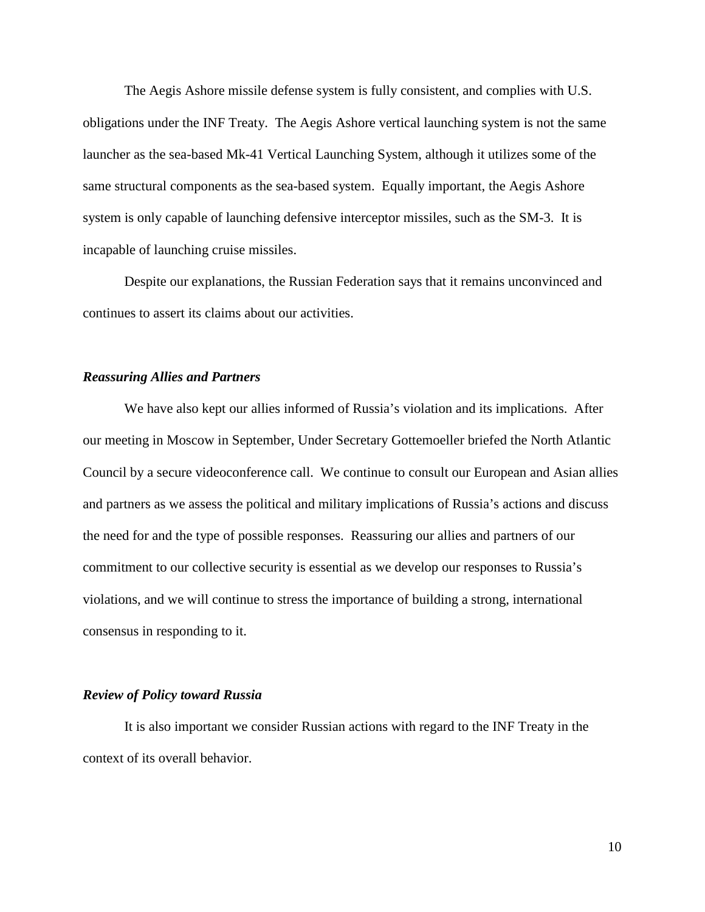The Aegis Ashore missile defense system is fully consistent, and complies with U.S. obligations under the INF Treaty. The Aegis Ashore vertical launching system is not the same launcher as the sea-based Mk-41 Vertical Launching System, although it utilizes some of the same structural components as the sea-based system. Equally important, the Aegis Ashore system is only capable of launching defensive interceptor missiles, such as the SM-3. It is incapable of launching cruise missiles.

Despite our explanations, the Russian Federation says that it remains unconvinced and continues to assert its claims about our activities.

#### *Reassuring Allies and Partners*

We have also kept our allies informed of Russia's violation and its implications. After our meeting in Moscow in September, Under Secretary Gottemoeller briefed the North Atlantic Council by a secure videoconference call. We continue to consult our European and Asian allies and partners as we assess the political and military implications of Russia's actions and discuss the need for and the type of possible responses. Reassuring our allies and partners of our commitment to our collective security is essential as we develop our responses to Russia's violations, and we will continue to stress the importance of building a strong, international consensus in responding to it.

## *Review of Policy toward Russia*

It is also important we consider Russian actions with regard to the INF Treaty in the context of its overall behavior.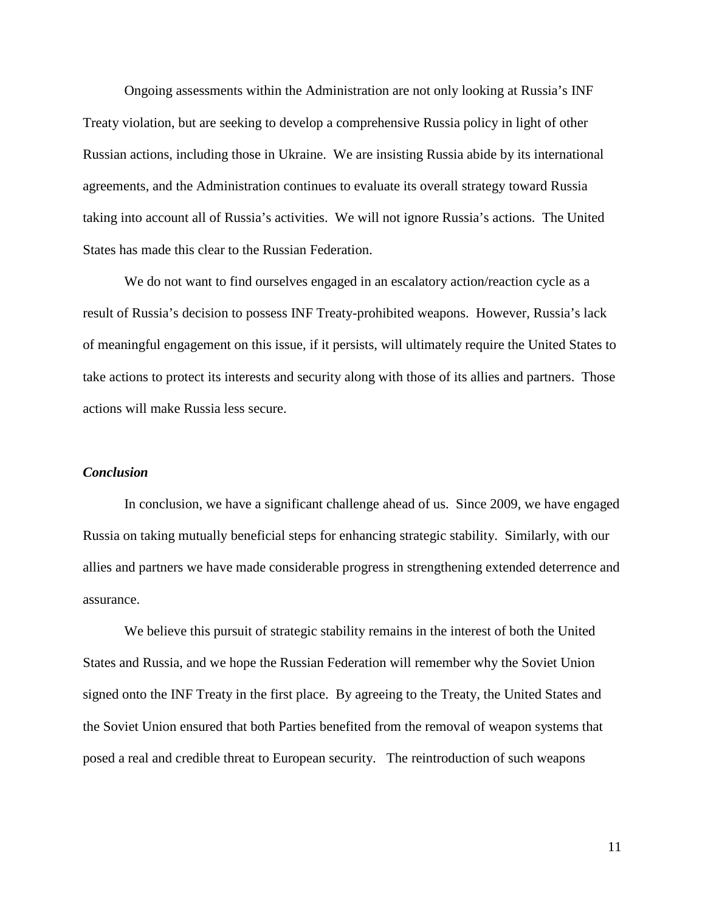Ongoing assessments within the Administration are not only looking at Russia's INF Treaty violation, but are seeking to develop a comprehensive Russia policy in light of other Russian actions, including those in Ukraine. We are insisting Russia abide by its international agreements, and the Administration continues to evaluate its overall strategy toward Russia taking into account all of Russia's activities. We will not ignore Russia's actions. The United States has made this clear to the Russian Federation.

We do not want to find ourselves engaged in an escalatory action/reaction cycle as a result of Russia's decision to possess INF Treaty-prohibited weapons. However, Russia's lack of meaningful engagement on this issue, if it persists, will ultimately require the United States to take actions to protect its interests and security along with those of its allies and partners. Those actions will make Russia less secure.

## *Conclusion*

In conclusion, we have a significant challenge ahead of us. Since 2009, we have engaged Russia on taking mutually beneficial steps for enhancing strategic stability. Similarly, with our allies and partners we have made considerable progress in strengthening extended deterrence and assurance.

We believe this pursuit of strategic stability remains in the interest of both the United States and Russia, and we hope the Russian Federation will remember why the Soviet Union signed onto the INF Treaty in the first place. By agreeing to the Treaty, the United States and the Soviet Union ensured that both Parties benefited from the removal of weapon systems that posed a real and credible threat to European security. The reintroduction of such weapons